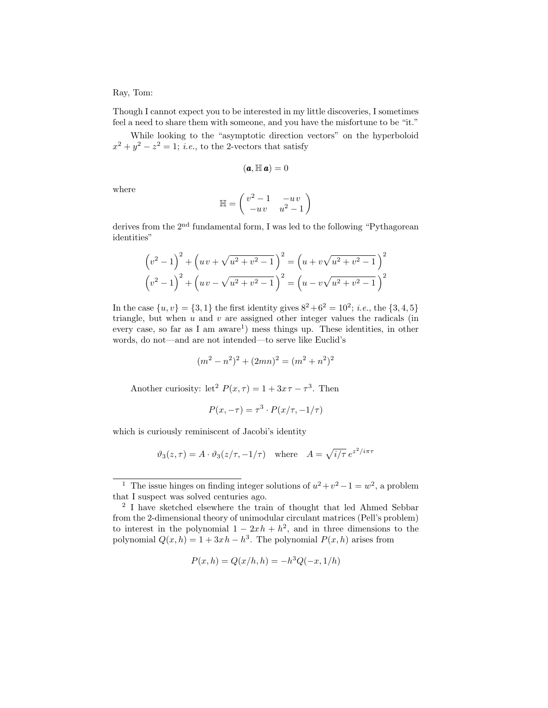## Ray, Tom:

Though I cannot expect you to be interested in my little discoveries, I sometimes feel a need to share them with someone, and you have the misfortune to be "it."

While looking to the "asymptotic direction vectors" on the hyperboloid  $x^2 + y^2 - z^2 = 1$ ; *i.e.*, to the 2-vectors that satisfy

$$
(\pmb{a}, \mathbb{H} \, \pmb{a}) = 0
$$

where

$$
\mathbb{H} = \begin{pmatrix} v^2 - 1 & -uv \\ -uv & u^2 - 1 \end{pmatrix}
$$

derives from the 2<sup>nd</sup> fundamental form, I was led to the following "Pythagorean" identities"

$$
\left(v^{2}-1\right)^{2} + \left(uv + \sqrt{u^{2}+v^{2}-1}\right)^{2} = \left(u+v\sqrt{u^{2}+v^{2}-1}\right)^{2}
$$

$$
\left(v^{2}-1\right)^{2} + \left(uv - \sqrt{u^{2}+v^{2}-1}\right)^{2} = \left(u-v\sqrt{u^{2}+v^{2}-1}\right)^{2}
$$

In the case  $\{u, v\} = \{3, 1\}$  the first identity gives  $8^2 + 6^2 = 10^2$ ; *i.e.*, the  $\{3, 4, 5\}$ triangle, but when  $u$  and  $v$  are assigned other integer values the radicals (in every case, so far as I am  $a$ ware<sup>1</sup>) mess things up. These identities, in other words, do not—and are not intended—to serve like Euclid's

$$
(m2 - n2)2 + (2mn)2 = (m2 + n2)2
$$

Another curiosity: let<sup>2</sup>  $P(x, \tau) = 1 + 3x\tau - \tau^3$ . Then

$$
P(x, -\tau) = \tau^3 \cdot P(x/\tau, -1/\tau)
$$

which is curiously reminiscent of Jacobi's identity

$$
\vartheta_3(z,\tau) = A \cdot \vartheta_3(z/\tau, -1/\tau)
$$
 where  $A = \sqrt{i/\tau} e^{z^2/i\pi\tau}$ 

$$
P(x, h) = Q(x/h, h) = -h^{3}Q(-x, 1/h)
$$

<sup>&</sup>lt;sup>1</sup> The issue hinges on finding integer solutions of  $u^2 + v^2 - 1 = w^2$ , a problem that I suspect was solved centuries ago.

<sup>2</sup> I have sketched elsewhere the train of thought that led Ahmed Sebbar from the 2-dimensional theory of unimodular circulant matrices (Pell's problem) to interest in the polynomial  $1 - 2xh + h^2$ , and in three dimensions to the polynomial  $Q(x, h) = 1 + 3xh - h^3$ . The polynomial  $P(x, h)$  arises from